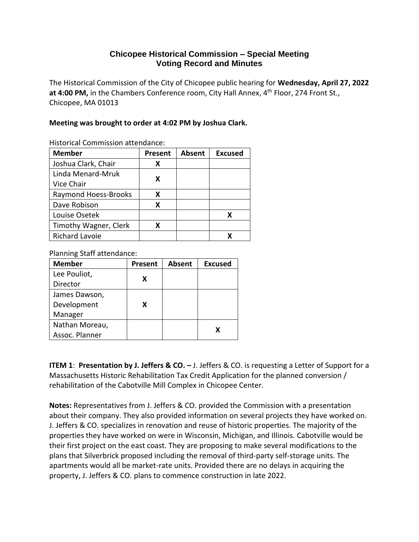## **Chicopee Historical Commission – Special Meeting Voting Record and Minutes**

The Historical Commission of the City of Chicopee public hearing for **Wednesday, April 27, 2022** at 4:00 PM, in the Chambers Conference room, City Hall Annex, 4<sup>th</sup> Floor, 274 Front St., Chicopee, MA 01013

## **Meeting was brought to order at 4:02 PM by Joshua Clark.**

| <b>Member</b>               | <b>Present</b> | <b>Absent</b> | <b>Excused</b> |
|-----------------------------|----------------|---------------|----------------|
| Joshua Clark, Chair         | х              |               |                |
| Linda Menard-Mruk           |                |               |                |
| Vice Chair                  | x              |               |                |
| <b>Raymond Hoess-Brooks</b> | x              |               |                |
| Dave Robison                | x              |               |                |
| Louise Osetek               |                |               | х              |
| Timothy Wagner, Clerk       | x              |               |                |
| <b>Richard Lavoie</b>       |                |               |                |

Historical Commission attendance:

Planning Staff attendance:

| <b>Member</b>  | Present | Absent | <b>Excused</b> |
|----------------|---------|--------|----------------|
| Lee Pouliot,   | X       |        |                |
| Director       |         |        |                |
| James Dawson,  |         |        |                |
| Development    | x       |        |                |
| Manager        |         |        |                |
| Nathan Moreau, |         |        |                |
| Assoc. Planner |         |        | X              |

**ITEM 1**: **Presentation by J. Jeffers & CO. –** J. Jeffers & CO. is requesting a Letter of Support for a Massachusetts Historic Rehabilitation Tax Credit Application for the planned conversion / rehabilitation of the Cabotville Mill Complex in Chicopee Center.

**Notes:** Representatives from J. Jeffers & CO. provided the Commission with a presentation about their company. They also provided information on several projects they have worked on. J. Jeffers & CO. specializes in renovation and reuse of historic properties. The majority of the properties they have worked on were in Wisconsin, Michigan, and Illinois. Cabotville would be their first project on the east coast. They are proposing to make several modifications to the plans that Silverbrick proposed including the removal of third-party self-storage units. The apartments would all be market-rate units. Provided there are no delays in acquiring the property, J. Jeffers & CO. plans to commence construction in late 2022.